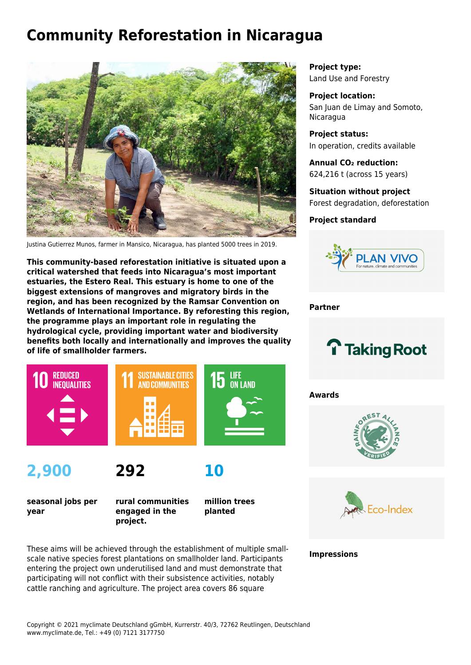# **Community Reforestation in Nicaragua**



Justina Gutierrez Munos, farmer in Mansico, Nicaragua, has planted 5000 trees in 2019.

**This community-based reforestation initiative is situated upon a critical watershed that feeds into Nicaragua's most important estuaries, the Estero Real. This estuary is home to one of the biggest extensions of mangroves and migratory birds in the region, and has been recognized by the Ramsar Convention on Wetlands of International Importance. By reforesting this region, the programme plays an important role in regulating the hydrological cycle, providing important water and biodiversity benefits both locally and internationally and improves the quality of life of smallholder farmers.**



**2,900**

**292**

**seasonal jobs per year**

**rural communities engaged in the project.**

**million trees planted**

**10**

These aims will be achieved through the establishment of multiple smallscale native species forest plantations on smallholder land. Participants entering the project own underutilised land and must demonstrate that participating will not conflict with their subsistence activities, notably cattle ranching and agriculture. The project area covers 86 square

**Project type:** Land Use and Forestry

**Project location:** San Juan de Limay and Somoto, Nicaragua

**Project status:** In operation, credits available

**Annual CO₂ reduction:** 624,216 t (across 15 years)

**Situation without project** Forest degradation, deforestation

## **Project standard**



**Partner**



**Awards**





**Impressions**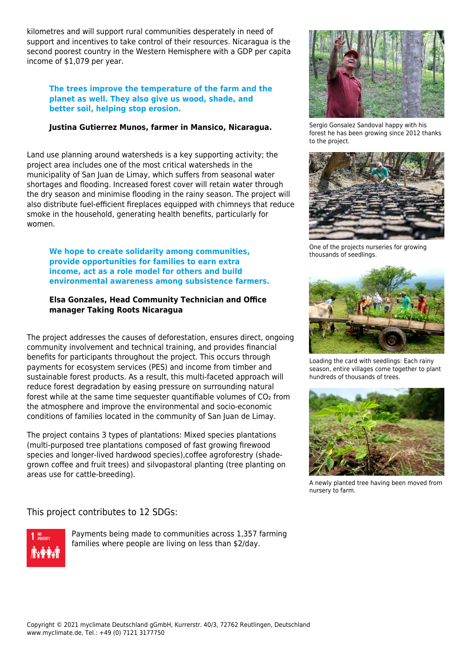kilometres and will support rural communities desperately in need of support and incentives to take control of their resources. Nicaragua is the second poorest country in the Western Hemisphere with a GDP per capita income of \$1,079 per year.

#### **The trees improve the temperature of the farm and the planet as well. They also give us wood, shade, and better soil, helping stop erosion.**

## **Justina Gutierrez Munos, farmer in Mansico, Nicaragua.**

Land use planning around watersheds is a key supporting activity; the project area includes one of the most critical watersheds in the municipality of San Juan de Limay, which suffers from seasonal water shortages and flooding. Increased forest cover will retain water through the dry season and minimise flooding in the rainy season. The project will also distribute fuel-efficient fireplaces equipped with chimneys that reduce smoke in the household, generating health benefits, particularly for women.

**We hope to create solidarity among communities, provide opportunities for families to earn extra income, act as a role model for others and build environmental awareness among subsistence farmers.**

### **Elsa Gonzales, Head Community Technician and Office manager Taking Roots Nicaragua**

The project addresses the causes of deforestation, ensures direct, ongoing community involvement and technical training, and provides financial benefits for participants throughout the project. This occurs through payments for ecosystem services (PES) and income from timber and sustainable forest products. As a result, this multi-faceted approach will reduce forest degradation by easing pressure on surrounding natural forest while at the same time sequester quantifiable volumes of CO<sub>2</sub> from the atmosphere and improve the environmental and socio-economic conditions of families located in the community of San Juan de Limay.

The project contains 3 types of plantations: Mixed species plantations (multi-purposed tree plantations composed of fast growing firewood species and longer-lived hardwood species),coffee agroforestry (shadegrown coffee and fruit trees) and silvopastoral planting (tree planting on areas use for cattle-breeding).

# This project contributes to 12 SDGs:



Payments being made to communities across 1,357 farming families where people are living on less than \$2/day.



Sergio Gonsalez Sandoval happy with his forest he has been growing since 2012 thanks to the project.



One of the projects nurseries for growing thousands of seedlings.



Loading the card with seedlings: Each rainy season, entire villages come together to plant hundreds of thousands of trees.



A newly planted tree having been moved from nursery to farm.